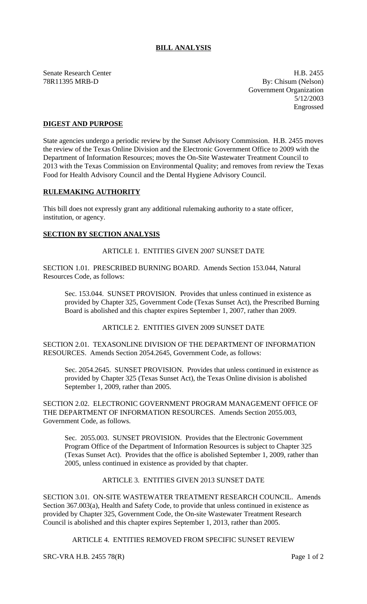# **BILL ANALYSIS**

Senate Research Center H.B. 2455

78R11395 MRB-D By: Chisum (Nelson) Government Organization 5/12/2003 Engrossed

## **DIGEST AND PURPOSE**

State agencies undergo a periodic review by the Sunset Advisory Commission. H.B. 2455 moves the review of the Texas Online Division and the Electronic Government Office to 2009 with the Department of Information Resources; moves the On-Site Wastewater Treatment Council to 2013 with the Texas Commission on Environmental Quality; and removes from review the Texas Food for Health Advisory Council and the Dental Hygiene Advisory Council.

#### **RULEMAKING AUTHORITY**

This bill does not expressly grant any additional rulemaking authority to a state officer, institution, or agency.

#### **SECTION BY SECTION ANALYSIS**

ARTICLE 1. ENTITIES GIVEN 2007 SUNSET DATE

SECTION 1.01. PRESCRIBED BURNING BOARD. Amends Section 153.044, Natural Resources Code, as follows:

Sec. 153.044. SUNSET PROVISION. Provides that unless continued in existence as provided by Chapter 325, Government Code (Texas Sunset Act), the Prescribed Burning Board is abolished and this chapter expires September 1, 2007, rather than 2009.

ARTICLE 2. ENTITIES GIVEN 2009 SUNSET DATE

SECTION 2.01. TEXASONLINE DIVISION OF THE DEPARTMENT OF INFORMATION RESOURCES. Amends Section 2054.2645, Government Code, as follows:

Sec. 2054.2645. SUNSET PROVISION. Provides that unless continued in existence as provided by Chapter 325 (Texas Sunset Act), the Texas Online division is abolished September 1, 2009, rather than 2005.

SECTION 2.02. ELECTRONIC GOVERNMENT PROGRAM MANAGEMENT OFFICE OF THE DEPARTMENT OF INFORMATION RESOURCES. Amends Section 2055.003, Government Code, as follows.

Sec. 2055.003. SUNSET PROVISION. Provides that the Electronic Government Program Office of the Department of Information Resources is subject to Chapter 325 (Texas Sunset Act). Provides that the office is abolished September 1, 2009, rather than 2005, unless continued in existence as provided by that chapter.

# ARTICLE 3. ENTITIES GIVEN 2013 SUNSET DATE

SECTION 3.01. ON-SITE WASTEWATER TREATMENT RESEARCH COUNCIL. Amends Section 367.003(a), Health and Safety Code, to provide that unless continued in existence as provided by Chapter 325, Government Code, the On-site Wastewater Treatment Research Council is abolished and this chapter expires September 1, 2013, rather than 2005.

ARTICLE 4. ENTITIES REMOVED FROM SPECIFIC SUNSET REVIEW

SRC-VRA H.B. 2455 78(R) Page 1 of 2